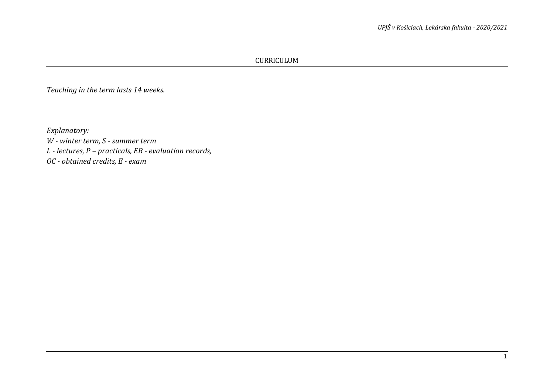CURRICULUM

*Teaching in the term lasts 14 weeks.*

*Explanatory:*

*W - winter term, S - summer term L - lectures, P – practicals, ER - evaluation records, OC - obtained credits, E - exam*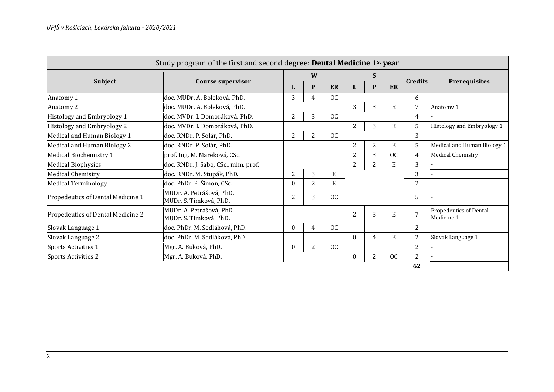| Study program of the first and second degree: Dental Medicine 1 <sup>st</sup> year |                                                    |                |   |           |                |                |           |                |                                      |
|------------------------------------------------------------------------------------|----------------------------------------------------|----------------|---|-----------|----------------|----------------|-----------|----------------|--------------------------------------|
|                                                                                    | <b>Course supervisor</b>                           |                | W |           | S              |                |           | <b>Credits</b> |                                      |
| <b>Subject</b>                                                                     |                                                    | L              | P | ER        | L              | P              | ER        |                | Prerequisites                        |
| Anatomy 1                                                                          | doc. MUDr. A. Boleková, PhD.                       | 3              | 4 | OC        |                |                |           | 6              |                                      |
| Anatomy 2                                                                          | doc. MUDr. A. Boleková, PhD.                       |                |   |           | 3              | 3              | ${\bf E}$ | 7              | Anatomy 1                            |
| Histology and Embryology 1                                                         | doc. MVDr. I. Domoráková, PhD.                     | 2              | 3 | OC        |                |                |           | 4              |                                      |
| Histology and Embryology 2                                                         | doc. MVDr. I. Domoráková, PhD.                     |                |   |           | 2              | 3              | E         | 5              | Histology and Embryology 1           |
| Medical and Human Biology 1                                                        | doc. RNDr. P. Solár, PhD.                          | 2              | 2 | OC        |                |                |           | 3              |                                      |
| Medical and Human Biology 2                                                        | doc. RNDr. P. Solár, PhD.                          |                |   |           | 2              | 2              | ${\bf E}$ | 5              | Medical and Human Biology 1          |
| Medical Biochemistry 1                                                             | prof. Ing. M. Mareková, CSc.                       |                |   |           | 2              | 3              | <b>OC</b> | $\overline{4}$ | Medical Chemistry                    |
| <b>Medical Biophysics</b>                                                          | doc. RNDr. J. Sabo, CSc., mim. prof.               |                |   |           | $\overline{2}$ | $\overline{2}$ | E         | 3              |                                      |
| <b>Medical Chemistry</b>                                                           | doc. RNDr. M. Stupák, PhD.                         | $\overline{2}$ | 3 | E         |                |                |           | 3              |                                      |
| <b>Medical Terminology</b>                                                         | doc. PhDr. F. Šimon, CSc.                          | $\theta$       | 2 | E         |                |                |           | 2              |                                      |
| Propedeutics of Dental Medicine 1                                                  | MUDr. A. Petrášová, PhD.<br>MUDr. S. Timková, PhD. | 2              | 3 | <b>OC</b> |                |                |           | 5              |                                      |
| Propedeutics of Dental Medicine 2                                                  | MUDr. A. Petrášová, PhD.<br>MUDr. S. Timková, PhD. |                |   |           | 2              | 3              | ${\bf E}$ | $\overline{7}$ | Propedeutics of Dental<br>Medicine 1 |
| Slovak Language 1                                                                  | doc. PhDr. M. Sedláková, PhD.                      | $\theta$       | 4 | OC        |                |                |           | 2              |                                      |
| Slovak Language 2                                                                  | doc. PhDr. M. Sedláková, PhD.                      |                |   |           | $\Omega$       | $\overline{4}$ | E         | $\overline{2}$ | Slovak Language 1                    |
| Sports Activities 1                                                                | Mgr. A. Buková, PhD.                               | $\mathbf{0}$   | 2 | OC        |                |                |           | 2              |                                      |
| Sports Activities 2                                                                | Mgr. A. Buková, PhD.                               |                |   |           | 0              | $\overline{2}$ | <b>OC</b> | 2              |                                      |
|                                                                                    |                                                    |                |   |           |                |                |           | 62             |                                      |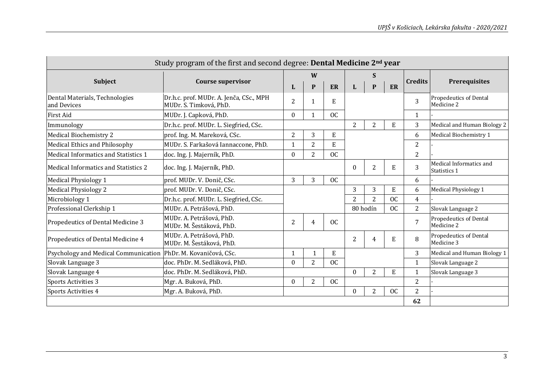|                                                                | Study program of the first and second degree: Dental Medicine 2 <sup>nd</sup> year |                  |              |               |          |                |           |                |                                             |
|----------------------------------------------------------------|------------------------------------------------------------------------------------|------------------|--------------|---------------|----------|----------------|-----------|----------------|---------------------------------------------|
|                                                                |                                                                                    |                  | W            |               |          | S              |           |                |                                             |
| Subject                                                        | <b>Course supervisor</b>                                                           | L                | P            | ER            | L        | P              | ER        | <b>Credits</b> | <b>Prerequisites</b>                        |
| Dental Materials, Technologies<br>and Devices                  | Dr.h.c. prof. MUDr. A. Jenča, CSc., MPH<br>MUDr. S. Timková, PhD.                  | 2                | 1            | E             |          |                |           | 3              | <b>Propedeutics of Dental</b><br>Medicine 2 |
| <b>First Aid</b>                                               | MUDr. J. Capková, PhD.                                                             | $\theta$         | $\mathbf{1}$ | OC            |          |                |           | $\mathbf{1}$   |                                             |
| Immunology                                                     | Dr.h.c. prof. MUDr. L. Siegfried, CSc.                                             |                  |              |               | 2        | $\overline{2}$ | E         | 3              | Medical and Human Biology 2                 |
| Medical Biochemistry 2                                         | prof. Ing. M. Mareková, CSc.                                                       | $\overline{2}$   | 3            | E             |          |                |           | 6              | Medical Biochemistry 1                      |
| Medical Ethics and Philosophy                                  | MUDr. S. Farkašová Iannaccone, PhD.                                                | 1                | 2            | E             |          |                |           | 2              |                                             |
| Medical Informatics and Statistics 1                           | doc. Ing. J. Majerník, PhD.                                                        | $\boldsymbol{0}$ | 2            | <b>OC</b>     |          |                |           | $\overline{2}$ |                                             |
| Medical Informatics and Statistics 2                           | doc. Ing. J. Majerník, PhD.                                                        |                  |              |               | $\Omega$ | $\overline{2}$ | E         | 3              | Medical Informatics and<br>Statistics 1     |
| Medical Physiology 1                                           | prof. MUDr. V. Donič, CSc.                                                         | 3                | 3            | <b>OC</b>     |          |                |           | 6              |                                             |
| <b>Medical Physiology 2</b>                                    | prof. MUDr. V. Donič, CSc.                                                         |                  |              |               | 3        | 3              | ${\bf E}$ | 6              | Medical Physiology 1                        |
| Microbiology 1                                                 | Dr.h.c. prof. MUDr. L. Siegfried, CSc.                                             |                  |              |               | 2        | $\overline{2}$ | <b>OC</b> | $\overline{4}$ |                                             |
| Professional Clerkship 1                                       | MUDr. A. Petrášová, PhD.                                                           |                  |              |               |          | 80 hodín       | OC        | 2              | Slovak Language 2                           |
| Propedeutics of Dental Medicine 3                              | MUDr. A. Petrášová, PhD.<br>MUDr. M. Šestáková, PhD.                               | 2                | 4            | <sub>OC</sub> |          |                |           | $\overline{7}$ | <b>Propedeutics of Dental</b><br>Medicine 2 |
| Propedeutics of Dental Medicine 4                              | MUDr. A. Petrášová, PhD.<br>MUDr. M. Šestáková, PhD.                               |                  |              |               | 2        | 4              | E         | 8              | <b>Propedeutics of Dental</b><br>Medicine 3 |
| Psychology and Medical Communication PhDr. M. Kovaničová, CSc. |                                                                                    | 1                |              | E             |          |                |           | 3              | Medical and Human Biology 1                 |
| Slovak Language 3                                              | doc. PhDr. M. Sedláková, PhD.                                                      | $\boldsymbol{0}$ | 2            | <b>OC</b>     |          |                |           | $\mathbf{1}$   | Slovak Language 2                           |
| Slovak Language 4                                              | doc. PhDr. M. Sedláková, PhD.                                                      |                  |              |               | $\theta$ | $\overline{2}$ | E         | 1              | Slovak Language 3                           |
| <b>Sports Activities 3</b>                                     | Mgr. A. Buková, PhD.                                                               | 0                | 2            | <b>OC</b>     |          |                |           | $\overline{2}$ |                                             |
| Sports Activities 4                                            | Mgr. A. Buková, PhD.                                                               |                  |              |               | $\Omega$ | $\overline{2}$ | <b>OC</b> | $\overline{2}$ |                                             |
|                                                                |                                                                                    |                  |              |               |          |                |           | 62             |                                             |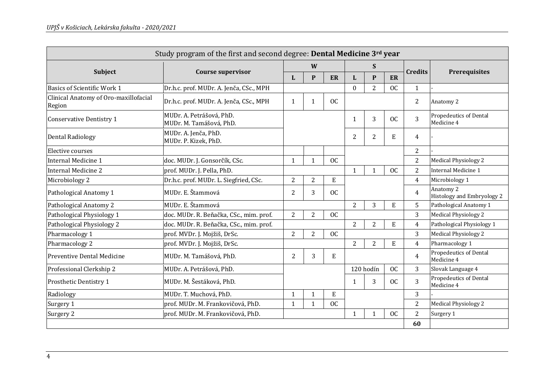| Study program of the first and second degree: Dental Medicine 3rd year |                                                     |                |                |           |                |                |                |                |                                             |  |
|------------------------------------------------------------------------|-----------------------------------------------------|----------------|----------------|-----------|----------------|----------------|----------------|----------------|---------------------------------------------|--|
|                                                                        |                                                     | W              |                |           |                | S.             |                |                |                                             |  |
| Subject                                                                | <b>Course supervisor</b>                            | L              | P              | ER        | L              | P              | <b>ER</b>      | <b>Credits</b> | <b>Prerequisites</b>                        |  |
| Basics of Scientific Work 1                                            | Dr.h.c. prof. MUDr. A. Jenča, CSc., MPH             |                |                |           | $\Omega$       | $\overline{2}$ | <b>OC</b>      | $\mathbf{1}$   |                                             |  |
| Clinical Anatomy of Oro-maxillofacial<br>Region                        | Dr.h.c. prof. MUDr. A. Jenča, CSc., MPH             | $\mathbf{1}$   | 1              | <b>OC</b> |                |                |                | $\overline{2}$ | Anatomy 2                                   |  |
| <b>Conservative Dentistry 1</b>                                        | MUDr. A. Petrášová, PhD.<br>MUDr. M. Tamášová, PhD. |                |                |           | 1              | 3              | <b>OC</b>      | 3              | <b>Propedeutics of Dental</b><br>Medicine 4 |  |
| <b>Dental Radiology</b>                                                | MUDr. A. Jenča, PhD.<br>MUDr. P. Kizek, PhD.        |                |                |           | $\overline{2}$ | $\overline{2}$ | E              | $\overline{4}$ |                                             |  |
| Elective courses                                                       |                                                     |                |                |           |                |                |                | 2              |                                             |  |
| Internal Medicine 1                                                    | doc. MUDr. J. Gonsorčík, CSc.                       | $\mathbf{1}$   | 1              | <b>OC</b> |                |                |                | $\overline{2}$ | <b>Medical Physiology 2</b>                 |  |
| Internal Medicine 2                                                    | prof. MUDr. J. Pella, PhD.                          |                |                |           | $\mathbf{1}$   |                | <b>OC</b>      | $\overline{2}$ | <b>Internal Medicine 1</b>                  |  |
| Microbiology 2                                                         | Dr.h.c. prof. MUDr. L. Siegfried, CSc.              | $\overline{2}$ | $\overline{2}$ | E         |                |                |                | $\overline{4}$ | Microbiology 1                              |  |
| Pathological Anatomy 1                                                 | MUDr. E. Štammová                                   | $\overline{2}$ | 3              | <b>OC</b> |                |                |                | $\overline{4}$ | Anatomy 2<br>Histology and Embryology 2     |  |
| Pathological Anatomy 2                                                 | MUDr. E. Štammová                                   |                |                |           | $\overline{2}$ | 3              | E              | 5              | Pathological Anatomy 1                      |  |
| Pathological Physiology 1                                              | doc. MUDr. R. Beňačka, CSc., mim. prof.             | 2              | $\overline{2}$ | <b>OC</b> |                |                |                | 3              | Medical Physiology 2                        |  |
| Pathological Physiology 2                                              | doc. MUDr. R. Beňačka, CSc., mim. prof.             |                |                |           | $\overline{2}$ | $\overline{2}$ | ${\bf E}$      | $\overline{4}$ | Pathological Physiology 1                   |  |
| Pharmacology 1                                                         | prof. MVDr. J. Mojžiš, DrSc.                        | $\overline{2}$ | $\overline{2}$ | OC        |                |                |                | 3              | <b>Medical Physiology 2</b>                 |  |
| Pharmacology 2                                                         | prof. MVDr. J. Mojžiš, DrSc.                        |                |                |           | $\overline{2}$ | $\overline{2}$ | ${\bf E}$      | $\overline{4}$ | Pharmacology 1                              |  |
| Preventive Dental Medicine                                             | MUDr. M. Tamášová, PhD.                             | 2              | 3              | E         |                |                |                | $\overline{4}$ | <b>Propedeutics of Dental</b><br>Medicine 4 |  |
| Professional Clerkship 2                                               | MUDr. A. Petrášová, PhD.                            |                |                |           |                | 120 hodín      | <b>OC</b>      | 3              | Slovak Language 4                           |  |
| Prosthetic Dentistry 1                                                 | MUDr. M. Šestáková, PhD.                            |                |                |           | 1              | 3              | <b>OC</b>      | 3              | <b>Propedeutics of Dental</b><br>Medicine 4 |  |
| Radiology                                                              | MUDr. T. Muchová, PhD.                              | $\mathbf{1}$   | $\mathbf{1}$   | E         |                |                |                | 3              |                                             |  |
| Surgery 1                                                              | prof. MUDr. M. Frankovičová, PhD.                   | $\mathbf{1}$   | $\mathbf{1}$   | <b>OC</b> |                |                |                | $\overline{2}$ | <b>Medical Physiology 2</b>                 |  |
| Surgery 2                                                              | prof. MUDr. M. Frankovičová, PhD.                   |                |                |           | 1              |                | <sub>0</sub> c | $\overline{2}$ | Surgery 1                                   |  |
|                                                                        |                                                     |                |                |           |                |                |                | 60             |                                             |  |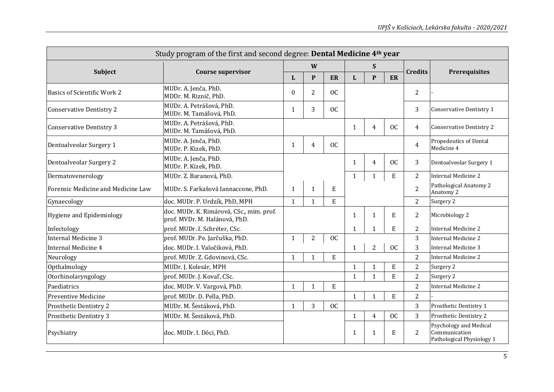| Study program of the first and second degree: Dental Medicine 4 <sup>th</sup> year |                                                                           |              |                |             |              |                    |             |                |                                                                      |  |
|------------------------------------------------------------------------------------|---------------------------------------------------------------------------|--------------|----------------|-------------|--------------|--------------------|-------------|----------------|----------------------------------------------------------------------|--|
|                                                                                    |                                                                           | W            |                |             | S            |                    |             |                |                                                                      |  |
| <b>Subject</b>                                                                     | <b>Course supervisor</b>                                                  | L            | $\mathbf{P}$   | ER          | L            | $\mathbf{P}$<br>ER |             | <b>Credits</b> | <b>Prerequisites</b>                                                 |  |
| <b>Basics of Scientific Work 2</b>                                                 | MUDr. A. Jenča, PhD.<br>MDDr. M. Riznič, PhD.                             | $\Omega$     | $\overline{2}$ | <b>OC</b>   |              |                    |             | $\overline{2}$ |                                                                      |  |
| <b>Conservative Dentistry 2</b>                                                    | MUDr. A. Petrášová, PhD.<br>MUDr. M. Tamášová, PhD.                       | 1            | 3              | <b>OC</b>   |              |                    |             | 3              | <b>Conservative Dentistry 1</b>                                      |  |
| <b>Conservative Dentistry 3</b>                                                    | MUDr. A. Petrášová, PhD.<br>MUDr. M. Tamášová, PhD.                       |              |                |             | 1            | 4                  | <b>OC</b>   | $\overline{4}$ | Conservative Dentistry 2                                             |  |
| Dentoalveolar Surgery 1                                                            | MUDr. A. Jenča, PhD.<br>MUDr. P. Kizek, PhD.                              | 1            | 4              | <b>OC</b>   |              |                    |             | $\overline{4}$ | Propedeutics of Dental<br>Medicine 4                                 |  |
| Dentoalveolar Surgery 2                                                            | MUDr. A. Jenča, PhD.<br>MUDr. P. Kizek, PhD.                              |              |                |             | 1            | $\overline{4}$     | <b>OC</b>   | 3              | Dentoalveolar Surgery 1                                              |  |
| Dermatovenerology                                                                  | MUDr. Z. Baranová, PhD.                                                   |              |                |             | $\mathbf{1}$ | 1                  | E           | 2              | <b>Internal Medicine 2</b>                                           |  |
| Forensic Medicine and Medicine Law                                                 | MUDr. S. Farkašová Iannaccone, PhD.                                       | 1            | $\mathbf{1}$   | E           |              |                    |             | $\overline{2}$ | Pathological Anatomy 2<br>Anatomy 2                                  |  |
| Gynaecology                                                                        | doc. MUDr. P. Urdzík, PhD, MPH                                            | $\mathbf{1}$ | $\mathbf{1}$   | $\mathbf E$ |              |                    |             | $\overline{2}$ | Surgery 2                                                            |  |
| Hygiene and Epidemiology                                                           | doc. MUDr. K. Rimárová, CSc., mim. prof.<br>prof. MVDr. M. Halánová, PhD. |              |                |             | 1            | 1                  | ${\bf E}$   | $\overline{2}$ | Microbiology 2                                                       |  |
| Infectology                                                                        | prof. MUDr. I. Schréter, CSc.                                             |              |                |             | $\mathbf{1}$ | $\mathbf{1}$       | E           | $\overline{2}$ | <b>Internal Medicine 2</b>                                           |  |
| <b>Internal Medicine 3</b>                                                         | prof. MUDr. Pe. Jarčuška, PhD.                                            | $\mathbf{1}$ | $\overline{2}$ | <b>OC</b>   |              |                    |             | 3              | <b>Internal Medicine 2</b>                                           |  |
| <b>Internal Medicine 4</b>                                                         | doc. MUDr. I. Valočiková, PhD.                                            |              |                |             | $\mathbf{1}$ | $\overline{2}$     | <b>OC</b>   | 3              | Internal Medicine 3                                                  |  |
| Neurology                                                                          | prof. MUDr. Z. Gdovinová, CSc.                                            | $\mathbf{1}$ | $\mathbf{1}$   | $\mathbf E$ |              |                    |             | $\overline{2}$ | <b>Internal Medicine 2</b>                                           |  |
| Opthalmology                                                                       | MUDr. J. Kolesár, MPH                                                     |              |                |             | 1            | 1                  | $\mathbf E$ | $\overline{2}$ | Surgery 2                                                            |  |
| Otorhinolaryngology                                                                | prof. MUDr. J. Koval', CSc.                                               |              |                |             | $\mathbf{1}$ | $\mathbf{1}$       | E           | $\overline{2}$ | Surgery 2                                                            |  |
| Paediatrics                                                                        | doc. MUDr. V. Vargová, PhD.                                               | $\mathbf{1}$ | $\mathbf{1}$   | E           |              |                    |             | $\overline{2}$ | <b>Internal Medicine 2</b>                                           |  |
| Preventive Medicine                                                                | prof. MUDr. D. Pella, PhD.                                                |              |                |             | $\mathbf{1}$ | 1                  | $\mathbf E$ | $\overline{2}$ |                                                                      |  |
| Prosthetic Dentistry 2                                                             | MUDr. M. Šestáková, PhD.                                                  | 1            | 3              | OC          |              |                    |             | 3              | Prosthetic Dentistry 1                                               |  |
| Prosthetic Dentistry 3                                                             | MUDr. M. Šestáková, PhD.                                                  |              |                |             | $\mathbf{1}$ | $\overline{4}$     | <b>OC</b>   | 3              | Prosthetic Dentistry 2                                               |  |
| Psychiatry                                                                         | doc. MUDr. I. Dóci, PhD.                                                  |              |                |             | 1            | 1                  | $\mathbf E$ | 2              | Psychology and Medical<br>Communication<br>Pathological Physiology 1 |  |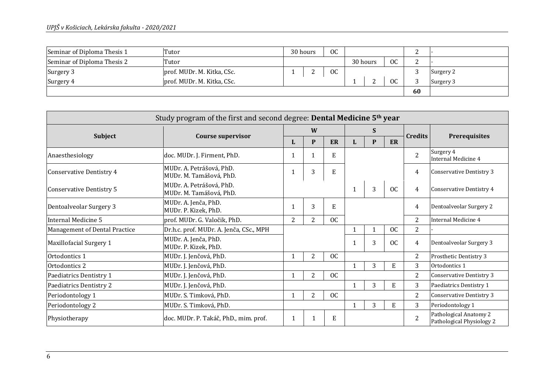| Seminar of Diploma Thesis 1 | Tutor                      | $_{0c}$<br>30 hours |  |    |          |  |         | ∸      |           |
|-----------------------------|----------------------------|---------------------|--|----|----------|--|---------|--------|-----------|
| Seminar of Diploma Thesis 2 | Tutor                      |                     |  |    | 30 hours |  | $_{00}$ | n<br>∸ |           |
| Surgery 3                   | prof. MUDr. M. Kitka, CSc. |                     |  | OC |          |  |         |        | Surgery 2 |
| Surgery 4                   | prof. MUDr. M. Kitka, CSc. |                     |  |    |          |  | OC      | ົ      | Surgery 3 |
|                             |                            |                     |  |    |          |  |         |        |           |

| Study program of the first and second degree: Dental Medicine 5 <sup>th</sup> year |                                                     |                |                |           |              |   |           |                |                                                     |
|------------------------------------------------------------------------------------|-----------------------------------------------------|----------------|----------------|-----------|--------------|---|-----------|----------------|-----------------------------------------------------|
|                                                                                    |                                                     | W              |                |           |              | S |           |                |                                                     |
| <b>Subject</b>                                                                     | <b>Course supervisor</b>                            | L              | P              | <b>ER</b> | L            | P | ER        | <b>Credits</b> | <b>Prerequisites</b>                                |
| Anaesthesiology                                                                    | doc. MUDr. J. Firment, PhD.                         | 1              | 1              | E         |              |   |           | $\overline{2}$ | Surgery 4<br>Internal Medicine 4                    |
| <b>Conservative Dentistry 4</b>                                                    | MUDr. A. Petrášová, PhD.<br>MUDr. M. Tamášová, PhD. | 1              | 3              | E         |              |   |           | 4              | <b>Conservative Dentistry 3</b>                     |
| <b>Conservative Dentistry 5</b>                                                    | MUDr. A. Petrášová, PhD.<br>MUDr. M. Tamášová, PhD. |                |                |           |              | 3 | <b>OC</b> | 4              | Conservative Dentistry 4                            |
| Dentoalveolar Surgery 3                                                            | MUDr. A. Jenča, PhD.<br>MUDr. P. Kizek, PhD.        |                | 3              | E         |              |   |           | 4              | Dentoalveolar Surgery 2                             |
| <b>Internal Medicine 5</b>                                                         | prof. MUDr. G. Valočik, PhD.                        | $\overline{2}$ | 2              | <b>OC</b> |              |   |           | $\overline{2}$ | Internal Medicine 4                                 |
| Management of Dental Practice                                                      | Dr.h.c. prof. MUDr. A. Jenča, CSc., MPH             |                |                |           |              |   | <b>OC</b> | $\overline{2}$ |                                                     |
| Maxillofacial Surgery 1                                                            | MUDr. A. Jenča, PhD.<br>MUDr. P. Kizek, PhD.        |                |                |           |              | 3 | <b>OC</b> | 4              | Dentoalveolar Surgery 3                             |
| Ortodontics 1                                                                      | MUDr. J. Jenčová, PhD.                              | 1              | $\overline{2}$ | OC        |              |   |           | 2              | Prosthetic Dentistry 3                              |
| Ortodontics 2                                                                      | MUDr. J. Jenčová, PhD.                              |                |                |           | $\mathbf{1}$ | 3 | E         | 3              | Ortodontics 1                                       |
| Paediatrics Dentistry 1                                                            | MUDr. J. Jenčová, PhD.                              |                | 2              | OC        |              |   |           | $\overline{2}$ | Conservative Dentistry 3                            |
| Paediatrics Dentistry 2                                                            | MUDr. J. Jenčová, PhD.                              |                |                |           |              | 3 | E         | 3              | Paediatrics Dentistry 1                             |
| Periodontology 1                                                                   | MUDr. S. Timková, PhD.                              | 1              | 2              | OC        |              |   |           | $\overline{2}$ | <b>Conservative Dentistry 3</b>                     |
| Periodontology 2                                                                   | MUDr. S. Timková, PhD.                              |                |                |           |              | 3 | E         | 3              | Periodontology 1                                    |
| Physiotherapy                                                                      | doc. MUDr. P. Takáč, PhD., mim. prof.               |                |                | E         |              |   |           | $\overline{2}$ | Pathological Anatomy 2<br>Pathological Physiology 2 |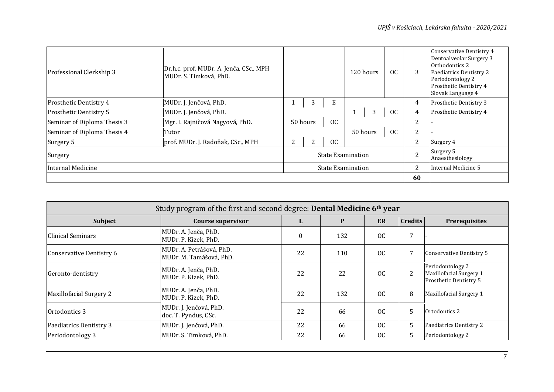| Professional Clerkship 3      | Dr.h.c. prof. MUDr. A. Jenča, CSc., MPH<br>MUDr. S. Timková, PhD. |   |          |     | 120 hours                | OC            | 3              | Conservative Dentistry 4<br>Dentoalveolar Surgery 3<br>Orthodontics 2<br>Paediatrics Dentistry 2<br>Periodontology 2<br>Prosthetic Dentistry 4<br>Slovak Language 4 |
|-------------------------------|-------------------------------------------------------------------|---|----------|-----|--------------------------|---------------|----------------|---------------------------------------------------------------------------------------------------------------------------------------------------------------------|
| Prosthetic Dentistry 4        | MUDr. J. Jenčová, PhD.                                            |   |          | E   |                          |               | 4              | Prosthetic Dentistry 3                                                                                                                                              |
| <b>Prosthetic Dentistry 5</b> | MUDr. J. Jenčová, PhD.                                            |   |          |     | 3                        | <sub>OC</sub> | 4              | Prosthetic Dentistry 4                                                                                                                                              |
| Seminar of Diploma Thesis 3   | Mgr. I. Rajničová Nagyová, PhD.                                   |   | 50 hours | OC. |                          |               | 2              |                                                                                                                                                                     |
| Seminar of Diploma Thesis 4   | Tutor                                                             |   |          |     | 50 hours                 | OC            | 2              |                                                                                                                                                                     |
| Surgery 5                     | prof. MUDr. J. Radoňak, CSc., MPH                                 | 2 |          | OC. |                          |               | 2              | Surgery 4                                                                                                                                                           |
| Surgery                       |                                                                   |   |          |     | <b>State Examination</b> |               | $\overline{2}$ | Surgery 5<br>Anaesthesiology                                                                                                                                        |
| Internal Medicine             |                                                                   |   |          |     | <b>State Examination</b> |               |                | Internal Medicine 5                                                                                                                                                 |
|                               |                                                                   |   |          |     |                          |               | 60             |                                                                                                                                                                     |

| Study program of the first and second degree: <b>Dental Medicine 6th year</b> |                                                     |              |     |    |                |                                                                       |  |  |  |  |
|-------------------------------------------------------------------------------|-----------------------------------------------------|--------------|-----|----|----------------|-----------------------------------------------------------------------|--|--|--|--|
| Subject                                                                       | <b>Course supervisor</b>                            | Ы            | P   | ER | <b>Credits</b> | <b>Prerequisites</b>                                                  |  |  |  |  |
| Clinical Seminars                                                             | MUDr. A. Jenča, PhD.<br>MUDr. P. Kizek, PhD.        | $\mathbf{0}$ | 132 | OC | 7              |                                                                       |  |  |  |  |
| Conservative Dentistry 6                                                      | MUDr. A. Petrášová, PhD.<br>MUDr. M. Tamášová, PhD. | 22           | 110 | OC |                | Conservative Dentistry 5                                              |  |  |  |  |
| Geronto-dentistry                                                             | MUDr. A. Jenča, PhD.<br>MUDr. P. Kizek, PhD.        | 22           | 22  | OC | 2              | Periodontology 2<br>Maxillofacial Surgery 1<br>Prosthetic Dentistry 5 |  |  |  |  |
| Maxillofacial Surgery 2                                                       | MUDr. A. Jenča, PhD.<br>MUDr. P. Kizek, PhD.        | 22           | 132 | OC | 8              | Maxillofacial Surgery 1                                               |  |  |  |  |
| Ortodontics 3                                                                 | MUDr. J. Jenčová, PhD.<br>doc. T. Pyndus, CSc.      | 22           | 66  | OC | 5              | Ortodontics 2                                                         |  |  |  |  |
| Paediatrics Dentistry 3                                                       | MUDr. J. Jenčová, PhD.                              | 22           | 66  | OC | 5              | Paediatrics Dentistry 2                                               |  |  |  |  |
| Periodontology 3                                                              | MUDr. S. Timková, PhD.                              | 22           | 66  | OC | 5.             | Periodontology 2                                                      |  |  |  |  |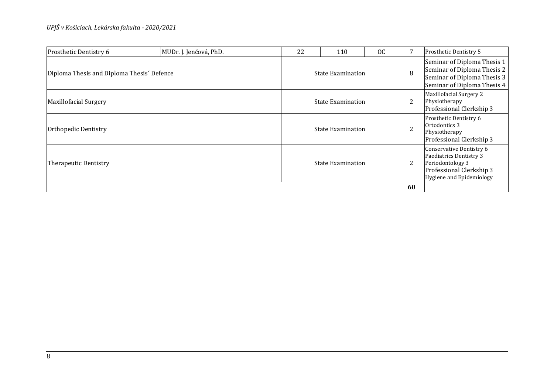| Prosthetic Dentistry 6                     | MUDr. J. Jenčová, PhD. | 22                       | 110                      | OC | 7              | Prosthetic Dentistry 5                                                                                                          |
|--------------------------------------------|------------------------|--------------------------|--------------------------|----|----------------|---------------------------------------------------------------------------------------------------------------------------------|
| Diploma Thesis and Diploma Thesis' Defence |                        |                          | <b>State Examination</b> |    | 8              | Seminar of Diploma Thesis 1<br>Seminar of Diploma Thesis 2<br>Seminar of Diploma Thesis 3<br>Seminar of Diploma Thesis 4        |
| Maxillofacial Surgery                      |                        |                          | <b>State Examination</b> |    | 2              | Maxillofacial Surgery 2<br>Physiotherapy<br>Professional Clerkship 3                                                            |
| Orthopedic Dentistry                       |                        |                          | <b>State Examination</b> |    | $\overline{2}$ | Prosthetic Dentistry 6<br>Ortodontics 3<br>Physiotherapy<br>Professional Clerkship 3                                            |
| Therapeutic Dentistry                      |                        | <b>State Examination</b> |                          |    | 2              | Conservative Dentistry 6<br>Paediatrics Dentistry 3<br>Periodontology 3<br>Professional Clerkship 3<br>Hygiene and Epidemiology |
|                                            |                        |                          |                          |    | 60             |                                                                                                                                 |